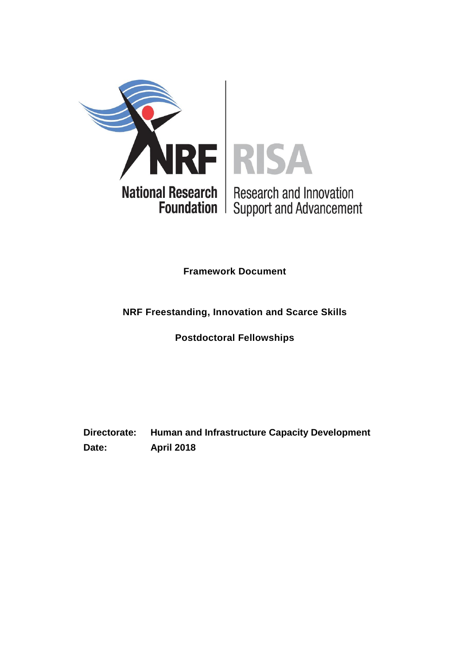

**Framework Document**

## **NRF Freestanding, Innovation and Scarce Skills**

**Postdoctoral Fellowships**

**Directorate: Human and Infrastructure Capacity Development Date: April 2018**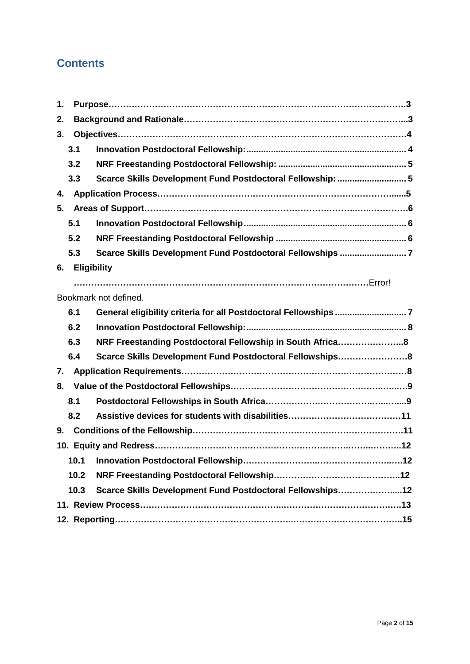## **Contents**

| 1. |                    |                                                            |  |  |  |  |
|----|--------------------|------------------------------------------------------------|--|--|--|--|
| 2. |                    |                                                            |  |  |  |  |
| 3. |                    |                                                            |  |  |  |  |
|    | 3.1                |                                                            |  |  |  |  |
|    | 3.2                |                                                            |  |  |  |  |
|    | 3.3                | Scarce Skills Development Fund Postdoctoral Fellowship:  5 |  |  |  |  |
| 4. |                    |                                                            |  |  |  |  |
| 5. |                    |                                                            |  |  |  |  |
|    | 5.1                |                                                            |  |  |  |  |
|    | 5.2                |                                                            |  |  |  |  |
|    | 5.3                | Scarce Skills Development Fund Postdoctoral Fellowships 7  |  |  |  |  |
| 6. | <b>Eligibility</b> |                                                            |  |  |  |  |
|    |                    |                                                            |  |  |  |  |
|    |                    | Bookmark not defined.                                      |  |  |  |  |
|    | 6.1                |                                                            |  |  |  |  |
|    | 6.2                |                                                            |  |  |  |  |
|    | 6.3                | NRF Freestanding Postdoctoral Fellowship in South Africa8  |  |  |  |  |
|    | 6.4                | Scarce Skills Development Fund Postdoctoral Fellowships8   |  |  |  |  |
| 7. |                    |                                                            |  |  |  |  |
| 8. |                    |                                                            |  |  |  |  |
|    | 8.1                |                                                            |  |  |  |  |
|    | 8.2                |                                                            |  |  |  |  |
| 9. |                    |                                                            |  |  |  |  |
|    |                    |                                                            |  |  |  |  |
|    | 10.1               |                                                            |  |  |  |  |
|    | 10.2               |                                                            |  |  |  |  |
|    | 10.3               | Scarce Skills Development Fund Postdoctoral Fellowships12  |  |  |  |  |
|    |                    |                                                            |  |  |  |  |
|    |                    |                                                            |  |  |  |  |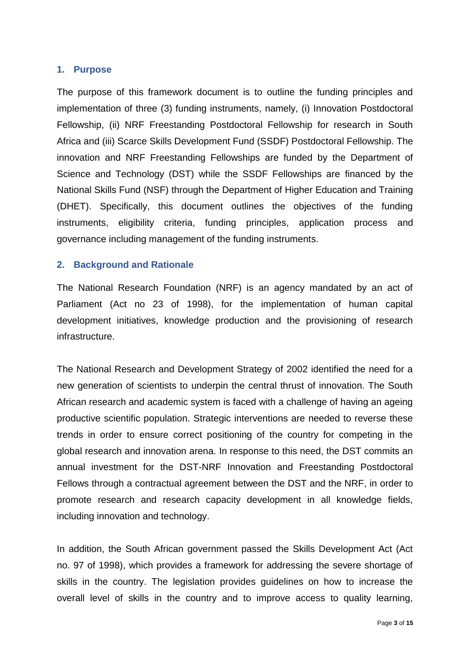#### <span id="page-2-0"></span>**1. Purpose**

The purpose of this framework document is to outline the funding principles and implementation of three (3) funding instruments, namely, (i) Innovation Postdoctoral Fellowship, (ii) NRF Freestanding Postdoctoral Fellowship for research in South Africa and (iii) Scarce Skills Development Fund (SSDF) Postdoctoral Fellowship. The innovation and NRF Freestanding Fellowships are funded by the Department of Science and Technology (DST) while the SSDF Fellowships are financed by the National Skills Fund (NSF) through the Department of Higher Education and Training (DHET). Specifically, this document outlines the objectives of the funding instruments, eligibility criteria, funding principles, application process and governance including management of the funding instruments.

#### <span id="page-2-1"></span>**2. Background and Rationale**

The National Research Foundation (NRF) is an agency mandated by an act of Parliament (Act no 23 of 1998), for the implementation of human capital development initiatives, knowledge production and the provisioning of research infrastructure.

The National Research and Development Strategy of 2002 identified the need for a new generation of scientists to underpin the central thrust of innovation. The South African research and academic system is faced with a challenge of having an ageing productive scientific population. Strategic interventions are needed to reverse these trends in order to ensure correct positioning of the country for competing in the global research and innovation arena. In response to this need, the DST commits an annual investment for the DST-NRF Innovation and Freestanding Postdoctoral Fellows through a contractual agreement between the DST and the NRF, in order to promote research and research capacity development in all knowledge fields, including innovation and technology.

In addition, the South African government passed the Skills Development Act (Act no. 97 of 1998), which provides a framework for addressing the severe shortage of skills in the country. The legislation provides guidelines on how to increase the overall level of skills in the country and to improve access to quality learning,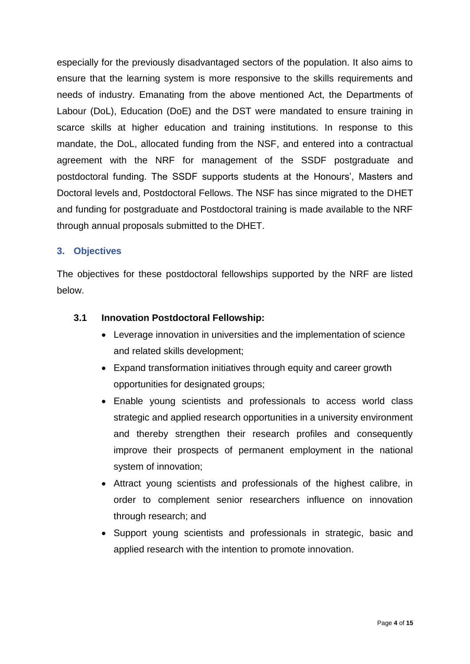especially for the previously disadvantaged sectors of the population. It also aims to ensure that the learning system is more responsive to the skills requirements and needs of industry. Emanating from the above mentioned Act, the Departments of Labour (DoL), Education (DoE) and the DST were mandated to ensure training in scarce skills at higher education and training institutions. In response to this mandate, the DoL, allocated funding from the NSF, and entered into a contractual agreement with the NRF for management of the SSDF postgraduate and postdoctoral funding. The SSDF supports students at the Honours', Masters and Doctoral levels and, Postdoctoral Fellows. The NSF has since migrated to the DHET and funding for postgraduate and Postdoctoral training is made available to the NRF through annual proposals submitted to the DHET.

## <span id="page-3-0"></span>**3. Objectives**

The objectives for these postdoctoral fellowships supported by the NRF are listed below.

## <span id="page-3-1"></span>**3.1 Innovation Postdoctoral Fellowship:**

- Leverage innovation in universities and the implementation of science and related skills development;
- Expand transformation initiatives through equity and career growth opportunities for designated groups;
- Enable young scientists and professionals to access world class strategic and applied research opportunities in a university environment and thereby strengthen their research profiles and consequently improve their prospects of permanent employment in the national system of innovation;
- Attract young scientists and professionals of the highest calibre, in order to complement senior researchers influence on innovation through research; and
- Support young scientists and professionals in strategic, basic and applied research with the intention to promote innovation.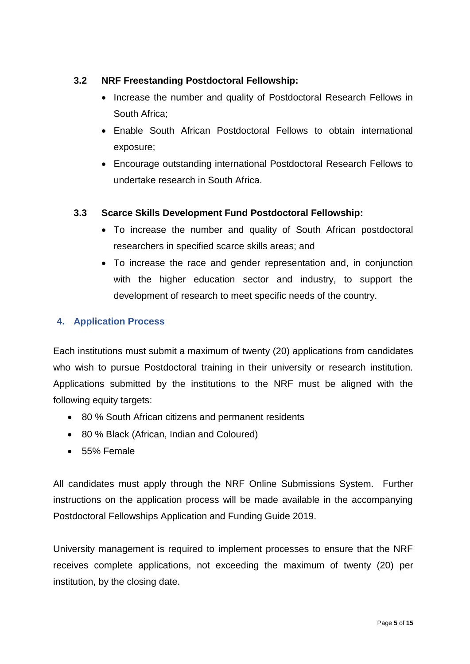## <span id="page-4-0"></span>**3.2 NRF Freestanding Postdoctoral Fellowship:**

- Increase the number and quality of Postdoctoral Research Fellows in South Africa;
- Enable South African Postdoctoral Fellows to obtain international exposure;
- Encourage outstanding international Postdoctoral Research Fellows to undertake research in South Africa.

## <span id="page-4-1"></span>**3.3 Scarce Skills Development Fund Postdoctoral Fellowship:**

- To increase the number and quality of South African postdoctoral researchers in specified scarce skills areas; and
- To increase the race and gender representation and, in conjunction with the higher education sector and industry, to support the development of research to meet specific needs of the country.

## <span id="page-4-2"></span>**4. Application Process**

Each institutions must submit a maximum of twenty (20) applications from candidates who wish to pursue Postdoctoral training in their university or research institution. Applications submitted by the institutions to the NRF must be aligned with the following equity targets:

- 80 % South African citizens and permanent residents
- 80 % Black (African, Indian and Coloured)
- 55% Female

All candidates must apply through the NRF Online Submissions System. Further instructions on the application process will be made available in the accompanying Postdoctoral Fellowships Application and Funding Guide 2019.

University management is required to implement processes to ensure that the NRF receives complete applications, not exceeding the maximum of twenty (20) per institution, by the closing date.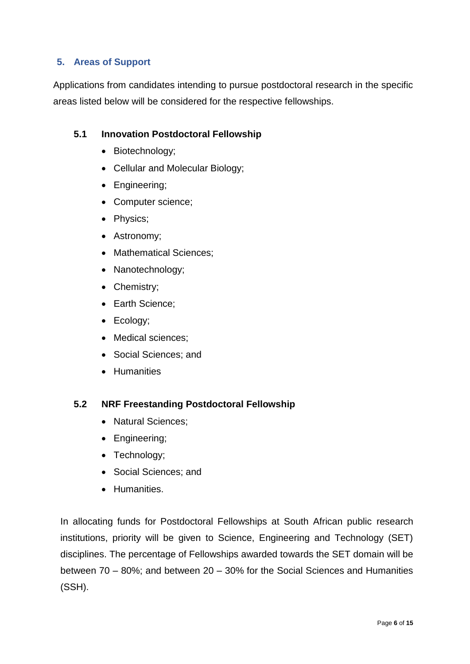## <span id="page-5-0"></span>**5. Areas of Support**

Applications from candidates intending to pursue postdoctoral research in the specific areas listed below will be considered for the respective fellowships.

#### <span id="page-5-1"></span>**5.1 Innovation Postdoctoral Fellowship**

- Biotechnology;
- Cellular and Molecular Biology;
- Engineering;
- Computer science;
- Physics;
- Astronomy;
- Mathematical Sciences;
- Nanotechnology;
- Chemistry;
- Earth Science:
- Ecology;
- Medical sciences;
- Social Sciences; and
- Humanities

#### <span id="page-5-2"></span>**5.2 NRF Freestanding Postdoctoral Fellowship**

- Natural Sciences:
- Engineering;
- Technology;
- Social Sciences: and
- **•** Humanities.

In allocating funds for Postdoctoral Fellowships at South African public research institutions, priority will be given to Science, Engineering and Technology (SET) disciplines. The percentage of Fellowships awarded towards the SET domain will be between 70 – 80%; and between 20 – 30% for the Social Sciences and Humanities (SSH).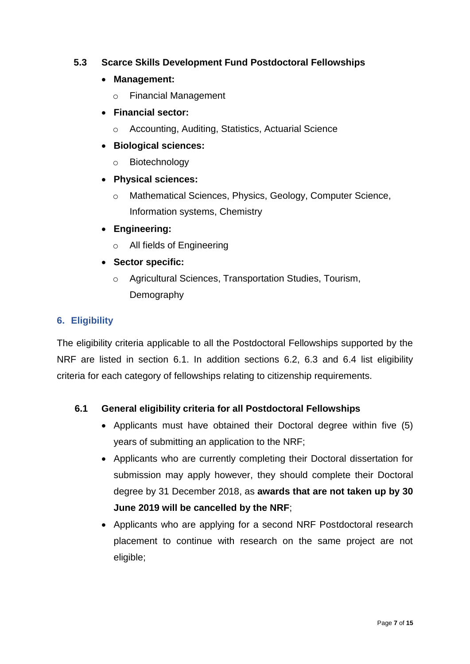## <span id="page-6-0"></span>**5.3 Scarce Skills Development Fund Postdoctoral Fellowships**

## **Management:**

o Financial Management

## **Financial sector:**

o Accounting, Auditing, Statistics, Actuarial Science

## **Biological sciences:**

- o Biotechnology
- **Physical sciences:**
	- o Mathematical Sciences, Physics, Geology, Computer Science, Information systems, Chemistry
- **Engineering:**
	- o All fields of Engineering
- <span id="page-6-1"></span> **Sector specific:** 
	- o Agricultural Sciences, Transportation Studies, Tourism, Demography

## **6. Eligibility**

The eligibility criteria applicable to all the Postdoctoral Fellowships supported by the NRF are listed in section 6.1. In addition sections 6.2, 6.3 and 6.4 list eligibility criteria for each category of fellowships relating to citizenship requirements.

## **6.1 General eligibility criteria for all Postdoctoral Fellowships**

- Applicants must have obtained their Doctoral degree within five (5) years of submitting an application to the NRF;
- Applicants who are currently completing their Doctoral dissertation for submission may apply however, they should complete their Doctoral degree by 31 December 2018, as **awards that are not taken up by 30 June 2019 will be cancelled by the NRF**;
- Applicants who are applying for a second NRF Postdoctoral research placement to continue with research on the same project are not eligible;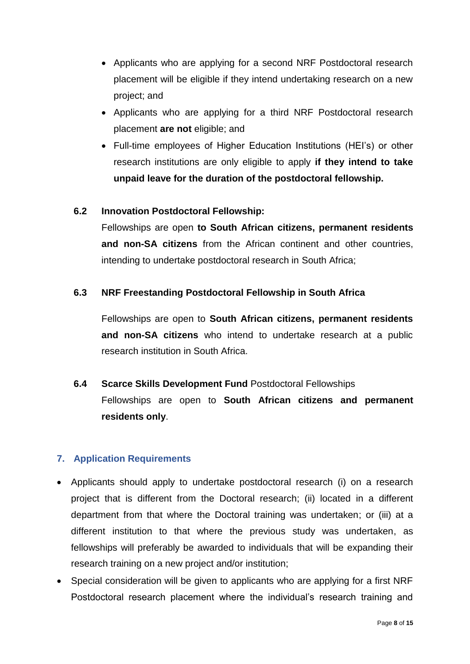- Applicants who are applying for a second NRF Postdoctoral research placement will be eligible if they intend undertaking research on a new project; and
- Applicants who are applying for a third NRF Postdoctoral research placement **are not** eligible; and
- Full-time employees of Higher Education Institutions (HEI's) or other research institutions are only eligible to apply **if they intend to take unpaid leave for the duration of the postdoctoral fellowship.**

#### <span id="page-7-0"></span>**6.2 Innovation Postdoctoral Fellowship:**

Fellowships are open **to South African citizens, permanent residents and non-SA citizens** from the African continent and other countries, intending to undertake postdoctoral research in South Africa;

#### **6.3 NRF Freestanding Postdoctoral Fellowship in South Africa**

<span id="page-7-1"></span>Fellowships are open to **South African citizens, permanent residents and non-SA citizens** who intend to undertake research at a public research institution in South Africa.

<span id="page-7-2"></span>**6.4 Scarce Skills Development Fund** Postdoctoral Fellowships Fellowships are open to **South African citizens and permanent residents only**.

#### <span id="page-7-3"></span>**7. Application Requirements**

- Applicants should apply to undertake postdoctoral research (i) on a research project that is different from the Doctoral research; (ii) located in a different department from that where the Doctoral training was undertaken; or (iii) at a different institution to that where the previous study was undertaken, as fellowships will preferably be awarded to individuals that will be expanding their research training on a new project and/or institution;
- Special consideration will be given to applicants who are applying for a first NRF Postdoctoral research placement where the individual's research training and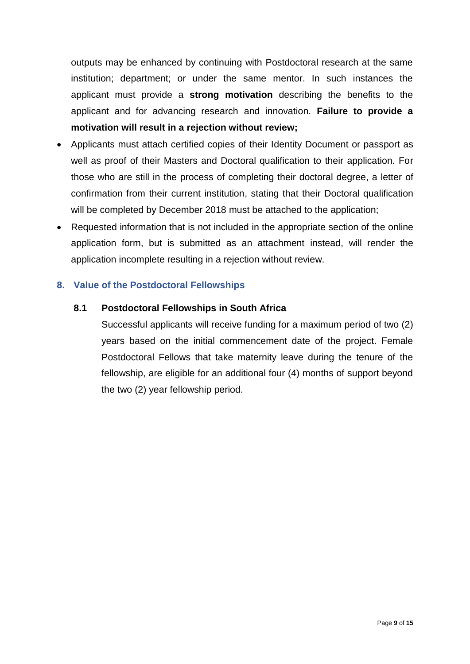outputs may be enhanced by continuing with Postdoctoral research at the same institution; department; or under the same mentor. In such instances the applicant must provide a **strong motivation** describing the benefits to the applicant and for advancing research and innovation. **Failure to provide a motivation will result in a rejection without review;** 

- Applicants must attach certified copies of their Identity Document or passport as well as proof of their Masters and Doctoral qualification to their application. For those who are still in the process of completing their doctoral degree, a letter of confirmation from their current institution, stating that their Doctoral qualification will be completed by December 2018 must be attached to the application;
- Requested information that is not included in the appropriate section of the online application form, but is submitted as an attachment instead, will render the application incomplete resulting in a rejection without review.

#### <span id="page-8-0"></span>**8. Value of the Postdoctoral Fellowships**

#### <span id="page-8-1"></span>**8.1 Postdoctoral Fellowships in South Africa**

Successful applicants will receive funding for a maximum period of two (2) years based on the initial commencement date of the project. Female Postdoctoral Fellows that take maternity leave during the tenure of the fellowship, are eligible for an additional four (4) months of support beyond the two (2) year fellowship period.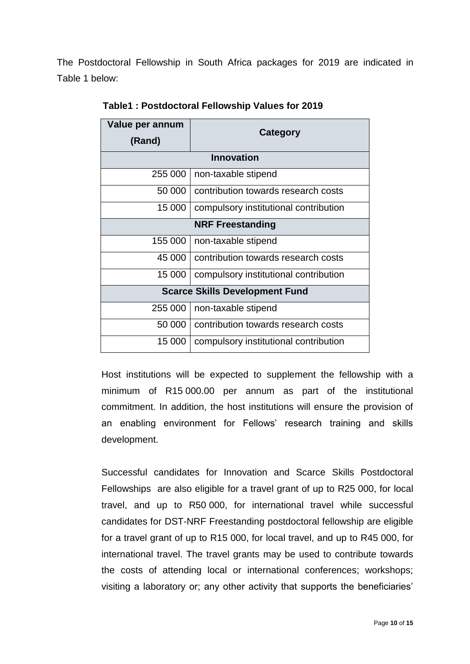The Postdoctoral Fellowship in South Africa packages for 2019 are indicated in Table 1 below:

| Value per annum<br>(Rand)             | Category                              |  |  |  |  |
|---------------------------------------|---------------------------------------|--|--|--|--|
| <b>Innovation</b>                     |                                       |  |  |  |  |
| 255 000                               | non-taxable stipend                   |  |  |  |  |
| 50 000                                | contribution towards research costs   |  |  |  |  |
| 15 000                                | compulsory institutional contribution |  |  |  |  |
| <b>NRF Freestanding</b>               |                                       |  |  |  |  |
| 155 000                               | non-taxable stipend                   |  |  |  |  |
| 45 000                                | contribution towards research costs   |  |  |  |  |
| 15 000                                | compulsory institutional contribution |  |  |  |  |
| <b>Scarce Skills Development Fund</b> |                                       |  |  |  |  |
| 255 000                               | non-taxable stipend                   |  |  |  |  |
| 50 000                                | contribution towards research costs   |  |  |  |  |
| 15 000                                | compulsory institutional contribution |  |  |  |  |

**Table1 : Postdoctoral Fellowship Values for 2019**

Host institutions will be expected to supplement the fellowship with a minimum of R15 000.00 per annum as part of the institutional commitment. In addition, the host institutions will ensure the provision of an enabling environment for Fellows' research training and skills development.

Successful candidates for Innovation and Scarce Skills Postdoctoral Fellowships are also eligible for a travel grant of up to R25 000, for local travel, and up to R50 000, for international travel while successful candidates for DST-NRF Freestanding postdoctoral fellowship are eligible for a travel grant of up to R15 000, for local travel, and up to R45 000, for international travel. The travel grants may be used to contribute towards the costs of attending local or international conferences; workshops; visiting a laboratory or; any other activity that supports the beneficiaries'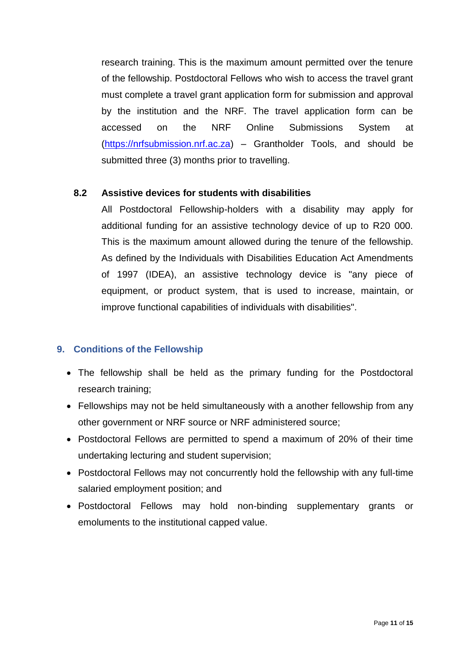research training. This is the maximum amount permitted over the tenure of the fellowship. Postdoctoral Fellows who wish to access the travel grant must complete a travel grant application form for submission and approval by the institution and the NRF. The travel application form can be accessed on the NRF Online Submissions System at [\(https://nrfsubmission.nrf.ac.za\)](https://nrfsubmission.nrf.ac.za/) – Grantholder Tools, and should be submitted three (3) months prior to travelling.

#### <span id="page-10-0"></span>**8.2 Assistive devices for students with disabilities**

All Postdoctoral Fellowship-holders with a disability may apply for additional funding for an assistive technology device of up to R20 000. This is the maximum amount allowed during the tenure of the fellowship. As defined by the Individuals with Disabilities Education Act Amendments of 1997 (IDEA), an assistive technology device is "any piece of equipment, or product system, that is used to increase, maintain, or improve functional capabilities of individuals with disabilities".

#### <span id="page-10-1"></span>**9. Conditions of the Fellowship**

- The fellowship shall be held as the primary funding for the Postdoctoral research training;
- Fellowships may not be held simultaneously with a another fellowship from any other government or NRF source or NRF administered source;
- Postdoctoral Fellows are permitted to spend a maximum of 20% of their time undertaking lecturing and student supervision;
- Postdoctoral Fellows may not concurrently hold the fellowship with any full-time salaried employment position; and
- Postdoctoral Fellows may hold non-binding supplementary grants or emoluments to the institutional capped value.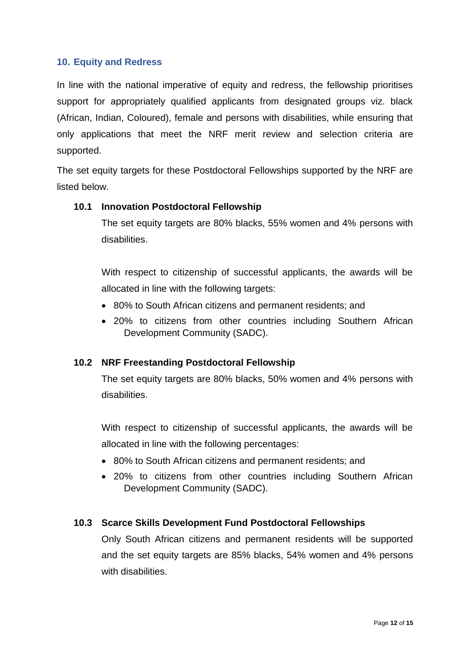#### <span id="page-11-0"></span>**10. Equity and Redress**

In line with the national imperative of equity and redress, the fellowship prioritises support for appropriately qualified applicants from designated groups viz. black (African, Indian, Coloured), female and persons with disabilities, while ensuring that only applications that meet the NRF merit review and selection criteria are supported.

The set equity targets for these Postdoctoral Fellowships supported by the NRF are listed below.

#### <span id="page-11-1"></span>**10.1 Innovation Postdoctoral Fellowship**

The set equity targets are 80% blacks, 55% women and 4% persons with disabilities.

With respect to citizenship of successful applicants, the awards will be allocated in line with the following targets:

- 80% to South African citizens and permanent residents; and
- 20% to citizens from other countries including Southern African Development Community (SADC).

## <span id="page-11-2"></span>**10.2 NRF Freestanding Postdoctoral Fellowship**

The set equity targets are 80% blacks, 50% women and 4% persons with disabilities.

With respect to citizenship of successful applicants, the awards will be allocated in line with the following percentages:

- 80% to South African citizens and permanent residents; and
- 20% to citizens from other countries including Southern African Development Community (SADC).

## <span id="page-11-3"></span>**10.3 Scarce Skills Development Fund Postdoctoral Fellowships**

Only South African citizens and permanent residents will be supported and the set equity targets are 85% blacks, 54% women and 4% persons with disabilities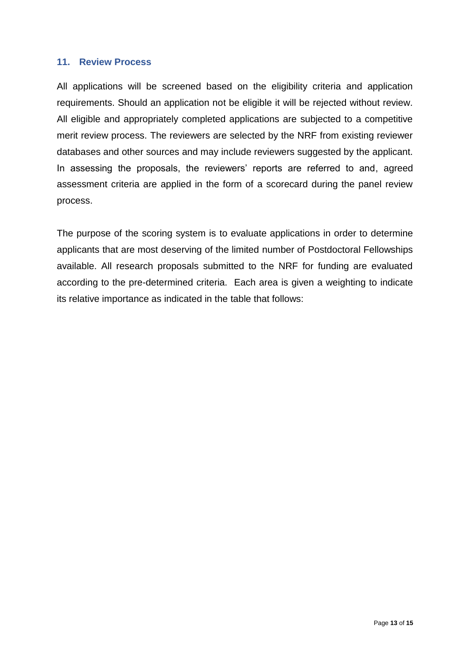#### <span id="page-12-0"></span>**11. Review Process**

All applications will be screened based on the eligibility criteria and application requirements. Should an application not be eligible it will be rejected without review. All eligible and appropriately completed applications are subjected to a competitive merit review process. The reviewers are selected by the NRF from existing reviewer databases and other sources and may include reviewers suggested by the applicant. In assessing the proposals, the reviewers' reports are referred to and, agreed assessment criteria are applied in the form of a scorecard during the panel review process.

The purpose of the scoring system is to evaluate applications in order to determine applicants that are most deserving of the limited number of Postdoctoral Fellowships available. All research proposals submitted to the NRF for funding are evaluated according to the pre-determined criteria. Each area is given a weighting to indicate its relative importance as indicated in the table that follows: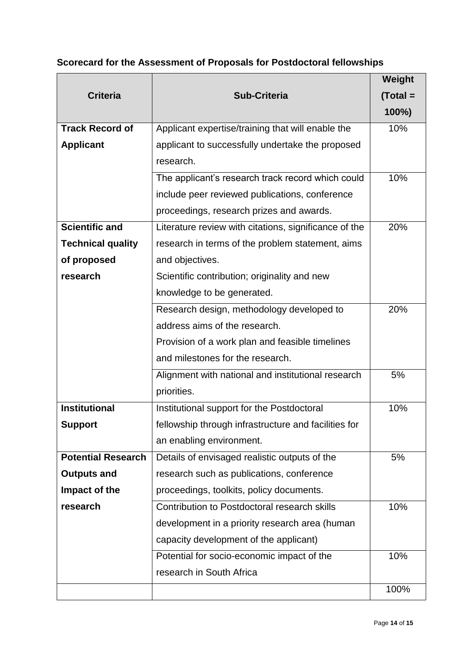# **Scorecard for the Assessment of Proposals for Postdoctoral fellowships**

|                           |                                                       | Weight     |
|---------------------------|-------------------------------------------------------|------------|
| <b>Criteria</b>           | <b>Sub-Criteria</b>                                   | $(Total =$ |
|                           |                                                       | 100%)      |
| <b>Track Record of</b>    | Applicant expertise/training that will enable the     | 10%        |
| <b>Applicant</b>          | applicant to successfully undertake the proposed      |            |
|                           | research.                                             |            |
|                           | The applicant's research track record which could     | 10%        |
|                           | include peer reviewed publications, conference        |            |
|                           | proceedings, research prizes and awards.              |            |
| <b>Scientific and</b>     | Literature review with citations, significance of the | 20%        |
| <b>Technical quality</b>  | research in terms of the problem statement, aims      |            |
| of proposed               | and objectives.                                       |            |
| research                  | Scientific contribution; originality and new          |            |
|                           | knowledge to be generated.                            |            |
|                           | Research design, methodology developed to             | 20%        |
|                           | address aims of the research.                         |            |
|                           | Provision of a work plan and feasible timelines       |            |
|                           | and milestones for the research.                      |            |
|                           | Alignment with national and institutional research    | 5%         |
|                           | priorities.                                           |            |
| <b>Institutional</b>      | Institutional support for the Postdoctoral            | 10%        |
| <b>Support</b>            | fellowship through infrastructure and facilities for  |            |
|                           | an enabling environment.                              |            |
| <b>Potential Research</b> | Details of envisaged realistic outputs of the         | 5%         |
| <b>Outputs and</b>        | research such as publications, conference             |            |
| Impact of the             | proceedings, toolkits, policy documents.              |            |
| research                  | Contribution to Postdoctoral research skills          | 10%        |
|                           | development in a priority research area (human        |            |
|                           | capacity development of the applicant)                |            |
|                           | Potential for socio-economic impact of the            | 10%        |
|                           | research in South Africa                              |            |
|                           |                                                       | 100%       |